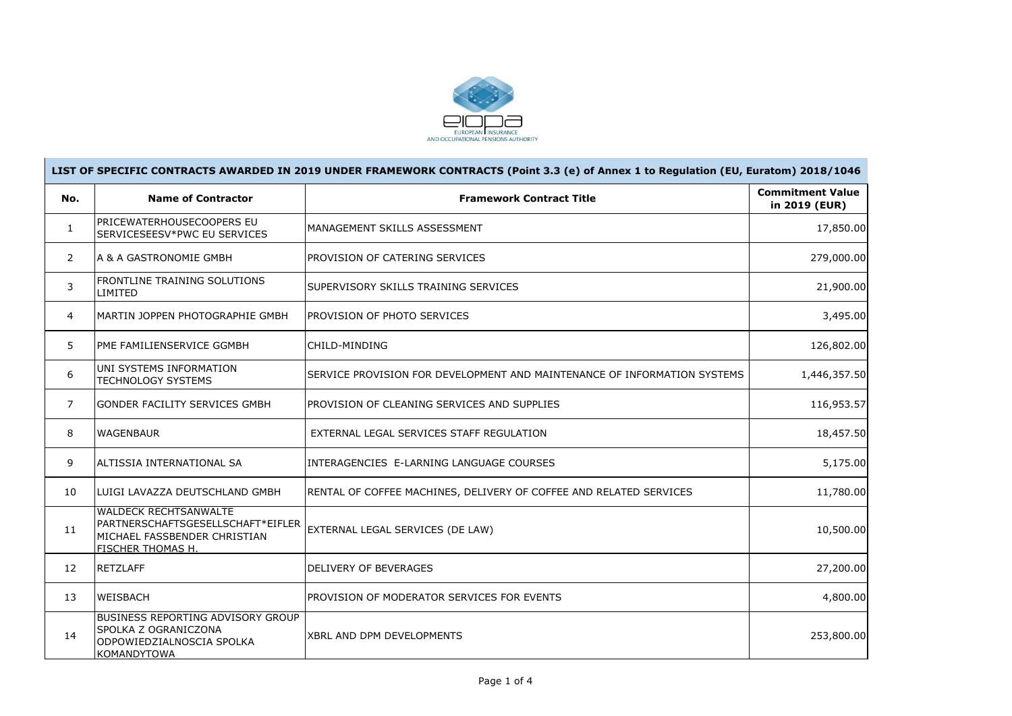

|                   | LIST OF SPECIFIC CONTRACTS AWARDED IN 2019 UNDER FRAMEWORK CONTRACTS (Point 3.3 (e) of Annex 1 to Regulation (EU, Euratom) 2018/1046 |                                                                          |                                          |  |  |  |  |
|-------------------|--------------------------------------------------------------------------------------------------------------------------------------|--------------------------------------------------------------------------|------------------------------------------|--|--|--|--|
| No.               | <b>Name of Contractor</b>                                                                                                            | <b>Framework Contract Title</b>                                          | <b>Commitment Value</b><br>in 2019 (EUR) |  |  |  |  |
| $\mathbf{1}$      | <b>PRICEWATERHOUSECOOPERS EU</b><br>SERVICESEESV*PWC EU SERVICES                                                                     | MANAGEMENT SKILLS ASSESSMENT                                             | 17,850.00                                |  |  |  |  |
| $\overline{2}$    | LA & A GASTRONOMIE GMBH                                                                                                              | PROVISION OF CATERING SERVICES                                           | 279,000.00                               |  |  |  |  |
| 3                 | FRONTLINE TRAINING SOLUTIONS<br>LIMITED                                                                                              | SUPERVISORY SKILLS TRAINING SERVICES                                     | 21,900.00                                |  |  |  |  |
| $\overline{4}$    | MARTIN JOPPEN PHOTOGRAPHIE GMBH                                                                                                      | PROVISION OF PHOTO SERVICES                                              | 3,495.00                                 |  |  |  |  |
| 5                 | IPME FAMILIENSERVICE GGMBH                                                                                                           | CHILD-MINDING                                                            | 126,802.00                               |  |  |  |  |
| 6                 | UNI SYSTEMS INFORMATION<br><b>TECHNOLOGY SYSTEMS</b>                                                                                 | SERVICE PROVISION FOR DEVELOPMENT AND MAINTENANCE OF INFORMATION SYSTEMS | 1,446,357.50                             |  |  |  |  |
| $\overline{7}$    | GONDER FACILITY SERVICES GMBH                                                                                                        | PROVISION OF CLEANING SERVICES AND SUPPLIES                              | 116,953.57                               |  |  |  |  |
| 8                 | <b>WAGENBAUR</b>                                                                                                                     | EXTERNAL LEGAL SERVICES STAFF REGULATION                                 | 18,457.50                                |  |  |  |  |
| 9                 | laltissia international sa                                                                                                           | INTERAGENCIES E-LARNING LANGUAGE COURSES                                 | 5,175.00                                 |  |  |  |  |
| 10                | LUIGI LAVAZZA DEUTSCHLAND GMBH                                                                                                       | RENTAL OF COFFEE MACHINES, DELIVERY OF COFFEE AND RELATED SERVICES       | 11,780.00                                |  |  |  |  |
| 11                | <b>WALDECK RECHTSANWALTE</b><br>PARTNERSCHAFTSGESELLSCHAFT*EIFLER<br>MICHAEL FASSBENDER CHRISTIAN<br><b>FISCHER THOMAS H.</b>        | EXTERNAL LEGAL SERVICES (DE LAW)                                         | 10,500.00                                |  |  |  |  |
| $12 \overline{ }$ | <b>RETZLAFF</b>                                                                                                                      | <b>DELIVERY OF BEVERAGES</b>                                             | 27,200.00                                |  |  |  |  |
| 13                | <b>WEISBACH</b>                                                                                                                      | PROVISION OF MODERATOR SERVICES FOR EVENTS                               | 4,800.00                                 |  |  |  |  |
| 14                | <b>BUSINESS REPORTING ADVISORY GROUP</b><br>SPOLKA Z OGRANICZONA<br>ODPOWIEDZIALNOSCIA SPOLKA<br><b>KOMANDYTOWA</b>                  | <b>XBRL AND DPM DEVELOPMENTS</b>                                         | 253,800.00                               |  |  |  |  |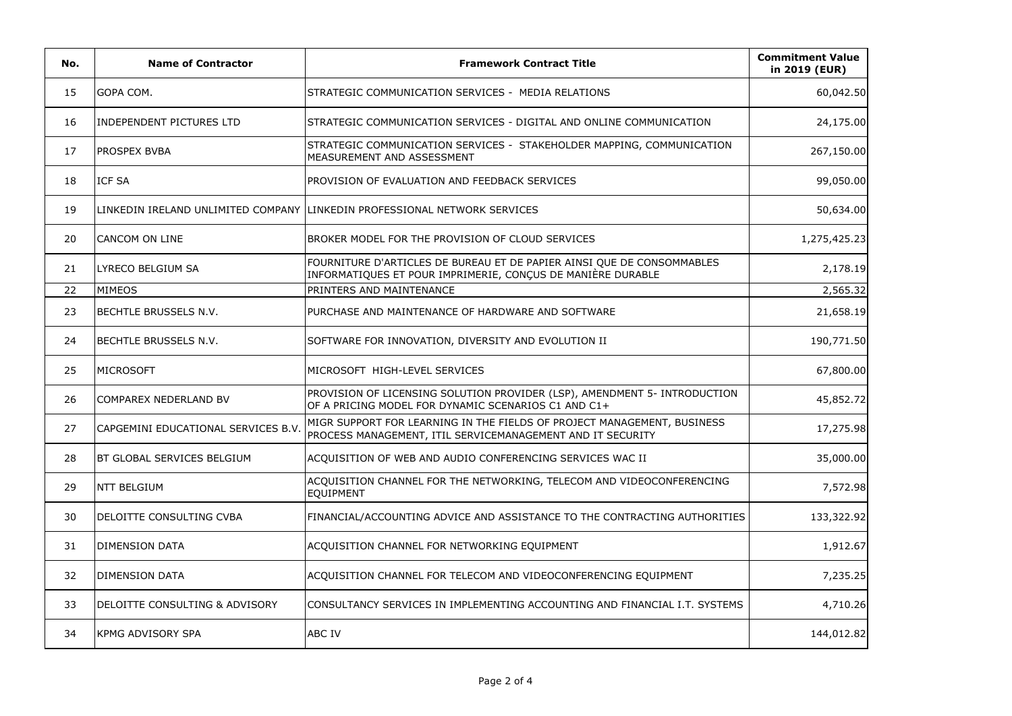| No. | <b>Name of Contractor</b>           | <b>Framework Contract Title</b>                                                                                                       | <b>Commitment Value</b><br>in 2019 (EUR) |
|-----|-------------------------------------|---------------------------------------------------------------------------------------------------------------------------------------|------------------------------------------|
| 15  | GOPA COM.                           | STRATEGIC COMMUNICATION SERVICES - MEDIA RELATIONS                                                                                    | 60,042.50                                |
| 16  | <b>INDEPENDENT PICTURES LTD</b>     | STRATEGIC COMMUNICATION SERVICES - DIGITAL AND ONLINE COMMUNICATION                                                                   | 24,175.00                                |
| 17  | <b>PROSPEX BVBA</b>                 | STRATEGIC COMMUNICATION SERVICES - STAKEHOLDER MAPPING, COMMUNICATION<br>MEASUREMENT AND ASSESSMENT                                   | 267,150.00                               |
| 18  | <b>ICF SA</b>                       | PROVISION OF EVALUATION AND FEEDBACK SERVICES                                                                                         | 99,050.00                                |
| 19  |                                     | LINKEDIN IRELAND UNLIMITED COMPANY LLINKEDIN PROFESSIONAL NETWORK SERVICES                                                            | 50,634.00                                |
| 20  | CANCOM ON LINE                      | BROKER MODEL FOR THE PROVISION OF CLOUD SERVICES                                                                                      | 1,275,425.23                             |
| 21  | LYRECO BELGIUM SA                   | FOURNITURE D'ARTICLES DE BUREAU ET DE PAPIER AINSI QUE DE CONSOMMABLES<br>INFORMATIQUES ET POUR IMPRIMERIE, CONÇUS DE MANIÈRE DURABLE | 2,178.19                                 |
| 22  | MIMEOS                              | PRINTERS AND MAINTENANCE                                                                                                              | 2,565.32                                 |
| 23  | <b>BECHTLE BRUSSELS N.V.</b>        | PURCHASE AND MAINTENANCE OF HARDWARE AND SOFTWARE                                                                                     | 21,658.19                                |
| 24  | <b>BECHTLE BRUSSELS N.V.</b>        | SOFTWARE FOR INNOVATION, DIVERSITY AND EVOLUTION II                                                                                   | 190,771.50                               |
| 25  | <b>MICROSOFT</b>                    | MICROSOFT HIGH-LEVEL SERVICES                                                                                                         | 67,800.00                                |
| 26  | COMPAREX NEDERLAND BV               | PROVISION OF LICENSING SOLUTION PROVIDER (LSP), AMENDMENT 5- INTRODUCTION<br>OF A PRICING MODEL FOR DYNAMIC SCENARIOS C1 AND C1+      | 45,852.72                                |
| 27  | CAPGEMINI EDUCATIONAL SERVICES B.V. | MIGR SUPPORT FOR LEARNING IN THE FIELDS OF PROJECT MANAGEMENT, BUSINESS<br>PROCESS MANAGEMENT, ITIL SERVICEMANAGEMENT AND IT SECURITY | 17,275.98                                |
| 28  | BT GLOBAL SERVICES BELGIUM          | ACQUISITION OF WEB AND AUDIO CONFERENCING SERVICES WAC II                                                                             | 35,000.00                                |
| 29  | <b>NTT BELGIUM</b>                  | ACQUISITION CHANNEL FOR THE NETWORKING, TELECOM AND VIDEOCONFERENCING<br>EQUIPMENT                                                    | 7,572.98                                 |
| 30  | DELOITTE CONSULTING CVBA            | FINANCIAL/ACCOUNTING ADVICE AND ASSISTANCE TO THE CONTRACTING AUTHORITIES                                                             | 133,322.92                               |
| 31  | <b>DIMENSION DATA</b>               | ACQUISITION CHANNEL FOR NETWORKING EQUIPMENT                                                                                          | 1,912.67                                 |
| 32  | <b>DIMENSION DATA</b>               | ACQUISITION CHANNEL FOR TELECOM AND VIDEOCONFERENCING EQUIPMENT                                                                       | 7,235.25                                 |
| 33  | DELOITTE CONSULTING & ADVISORY      | CONSULTANCY SERVICES IN IMPLEMENTING ACCOUNTING AND FINANCIAL I.T. SYSTEMS                                                            | 4,710.26                                 |
| 34  | <b>KPMG ADVISORY SPA</b>            | ABC IV                                                                                                                                | 144,012.82                               |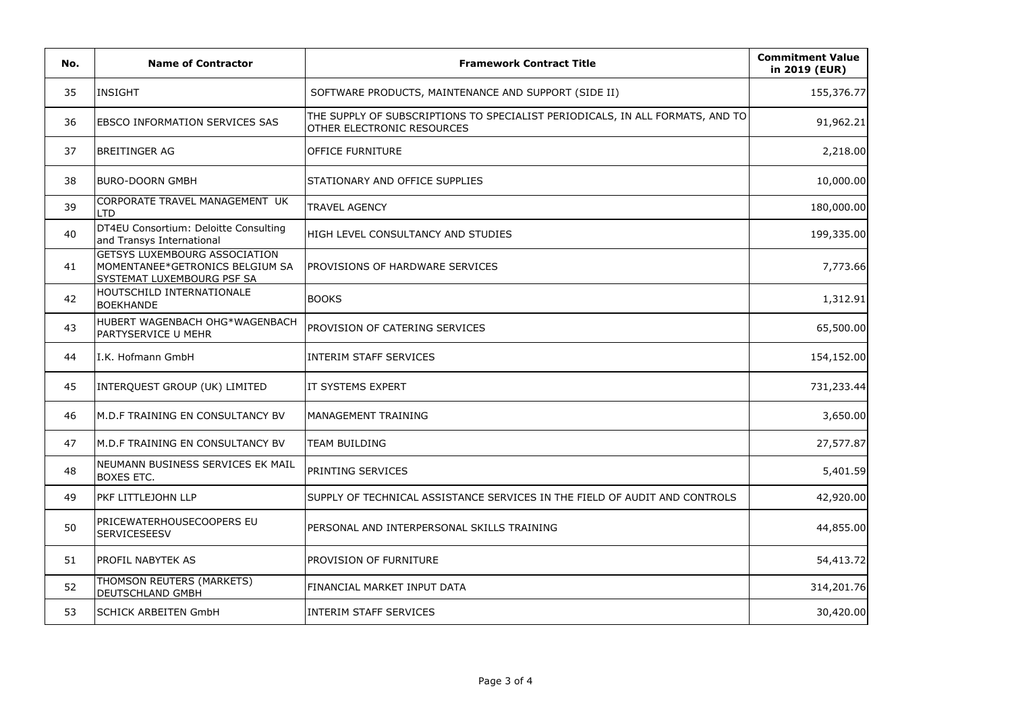| No. | <b>Name of Contractor</b>                                                                             | <b>Framework Contract Title</b>                                                                             | <b>Commitment Value</b><br>in 2019 (EUR) |
|-----|-------------------------------------------------------------------------------------------------------|-------------------------------------------------------------------------------------------------------------|------------------------------------------|
| 35  | <b>INSIGHT</b>                                                                                        | SOFTWARE PRODUCTS, MAINTENANCE AND SUPPORT (SIDE II)                                                        | 155,376.77                               |
| 36  | EBSCO INFORMATION SERVICES SAS                                                                        | THE SUPPLY OF SUBSCRIPTIONS TO SPECIALIST PERIODICALS, IN ALL FORMATS, AND TO<br>OTHER ELECTRONIC RESOURCES | 91,962.21                                |
| 37  | <b>BREITINGER AG</b>                                                                                  | OFFICE FURNITURE                                                                                            | 2,218.00                                 |
| 38  | <b>BURO-DOORN GMBH</b>                                                                                | STATIONARY AND OFFICE SUPPLIES                                                                              | 10,000.00                                |
| 39  | CORPORATE TRAVEL MANAGEMENT UK<br><b>LTD</b>                                                          | <b>TRAVEL AGENCY</b>                                                                                        | 180,000.00                               |
| 40  | DT4EU Consortium: Deloitte Consulting<br>and Transys International                                    | HIGH LEVEL CONSULTANCY AND STUDIES                                                                          | 199,335.00                               |
| 41  | <b>GETSYS LUXEMBOURG ASSOCIATION</b><br>MOMENTANEE*GETRONICS BELGIUM SA<br>SYSTEMAT LUXEMBOURG PSF SA | PROVISIONS OF HARDWARE SERVICES                                                                             | 7,773.66                                 |
| 42  | HOUTSCHILD INTERNATIONALE<br><b>BOEKHANDE</b>                                                         | <b>BOOKS</b>                                                                                                | 1,312.91                                 |
| 43  | HUBERT WAGENBACH OHG*WAGENBACH<br>PARTYSERVICE U MEHR                                                 | PROVISION OF CATERING SERVICES                                                                              | 65,500.00                                |
| 44  | I.K. Hofmann GmbH                                                                                     | <b>INTERIM STAFF SERVICES</b>                                                                               | 154,152.00                               |
| 45  | INTERQUEST GROUP (UK) LIMITED                                                                         | IT SYSTEMS EXPERT                                                                                           | 731,233.44                               |
| 46  | M.D.F TRAINING EN CONSULTANCY BV                                                                      | MANAGEMENT TRAINING                                                                                         | 3,650.00                                 |
| 47  | M.D.F TRAINING EN CONSULTANCY BV                                                                      | TEAM BUILDING                                                                                               | 27,577.87                                |
| 48  | NEUMANN BUSINESS SERVICES EK MAIL<br>BOXES ETC.                                                       | PRINTING SERVICES                                                                                           | 5,401.59                                 |
| 49  | PKF LITTLEJOHN LLP                                                                                    | SUPPLY OF TECHNICAL ASSISTANCE SERVICES IN THE FIELD OF AUDIT AND CONTROLS                                  | 42,920.00                                |
| 50  | PRICEWATERHOUSECOOPERS EU<br>SERVICESEESV                                                             | PERSONAL AND INTERPERSONAL SKILLS TRAINING                                                                  | 44,855.00                                |
| 51  | PROFIL NABYTEK AS                                                                                     | PROVISION OF FURNITURE                                                                                      | 54,413.72                                |
| 52  | THOMSON REUTERS (MARKETS)<br>DEUTSCHLAND GMBH                                                         | FINANCIAL MARKET INPUT DATA                                                                                 | 314,201.76                               |
| 53  | <b>SCHICK ARBEITEN GmbH</b>                                                                           | INTERIM STAFF SERVICES                                                                                      | 30,420.00                                |